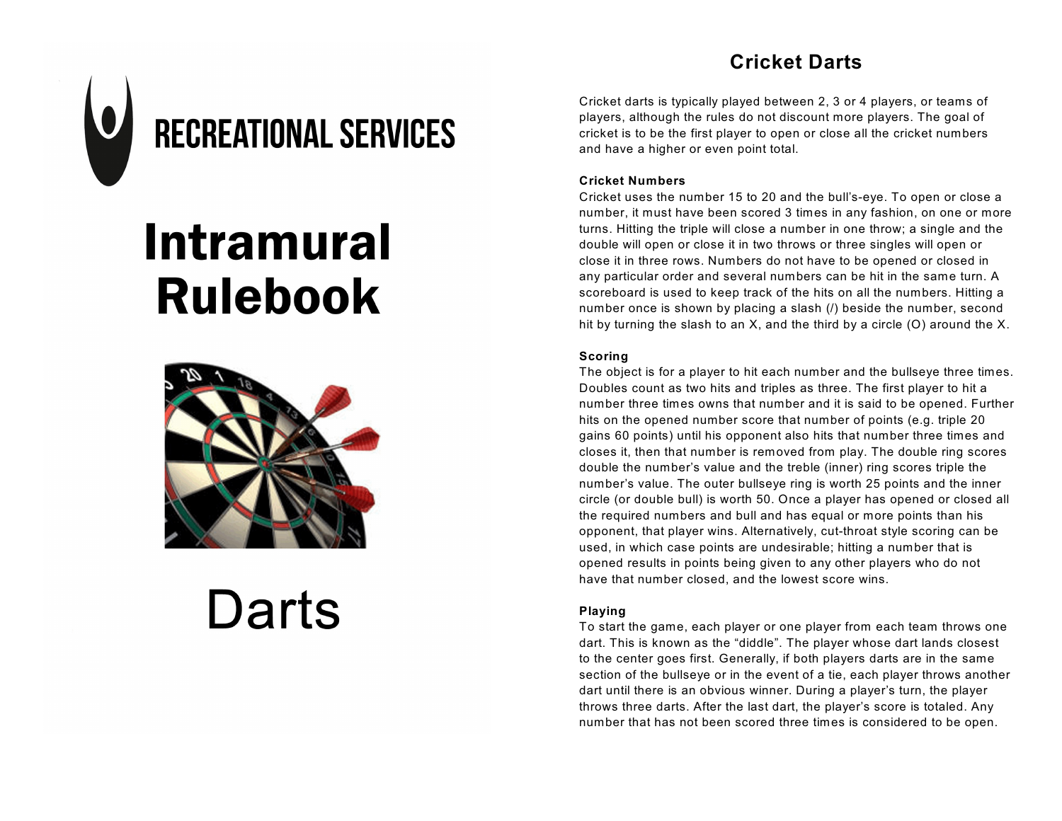### **Cricket Darts**



## **Intramural Rulebook**



# Darts

Cricket darts is typically played between 2, 3 or 4 players, or teams of players, although the rules do not discount more players. The goal of cricket is to be the first player to open or close all the cricket numbers and have a higher or even point total.

#### **Cricket Numbers**

Cricket uses the number 15 to 20 and the bull's-eye. To open or close a number, it must have been scored 3 times in any fashion, on one or more turns. Hitting the triple will close a number in one throw; a single and the double will open or close it in two throws or three singles will open or close it in three rows. Numbers do not have to be opened or closed in any particular order and several numbers can be hit in the same turn. A scoreboard is used to keep track of the hits on all the numbers. Hitting a number once is shown by placing a slash (/) beside the number, second hit by turning the slash to an  $X$ , and the third by a circle (O) around the  $X$ .

#### **Scoring**

The object is for a player to hit each number and the bullseye three times. Doubles count as two hits and triples as three. The first player to hit a number three times owns that number and it is said to be opened. Further hits on the opened number score that number of points (e.g. triple 20 gains 60 points) until his opponent also hits that number three times and closes it, then that number is removed from play. The double ring scores double the number's value and the treble (inner) ring scores triple the number's value. The outer bullseye ring is worth 25 points and the inner circle (or double bull) is worth 50. Once a player has opened or closed all the required numbers and bull and has equal or more points than his opponent, that player wins. Alternatively, cut-throat style scoring can be used, in which case points are undesirable; hitting a number that is opened results in points being given to any other players who do not have that number closed, and the lowest score wins.

#### **Playing**

To start the game, each player or one player from each team throws one dart. This is known as the "diddle". The player whose dart lands closest to the center goes first. Generally, if both players darts are in the same section of the bullseye or in the event of a tie, each player throws another dart until there is an obvious winner. During a player's turn, the player throws three darts. After the last dart, the player's score is totaled. Any number that has not been scored three times is considered to be open.